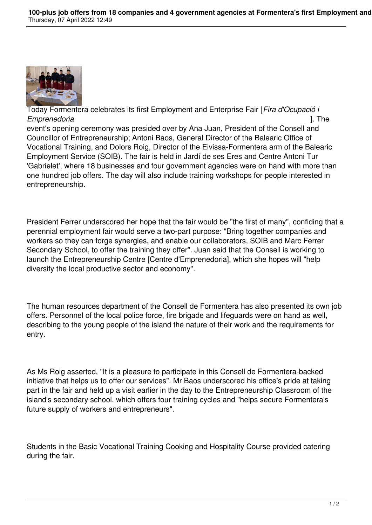

Today Formentera celebrates its first Employment and Enterprise Fair [*Fira d'Ocupació i Emprenedoria* ]. The event's opening ceremony was presided over by Ana Juan, President of the Consell and Councillor of Entrepreneurship; Antoni Baos, General Director of the Balearic Office of Vocational Training, and Dolors Roig, Director of the Eivissa-Formentera arm of the Balearic Employment Service (SOIB). The fair is held in Jardí de ses Eres and Centre Antoni Tur 'Gabrielet', where 18 businesses and four government agencies were on hand with more than one hundred job offers. The day will also include training workshops for people interested in entrepreneurship.

President Ferrer underscored her hope that the fair would be "the first of many", confiding that a perennial employment fair would serve a two-part purpose: "Bring together companies and workers so they can forge synergies, and enable our collaborators, SOIB and Marc Ferrer Secondary School, to offer the training they offer". Juan said that the Consell is working to launch the Entrepreneurship Centre [Centre d'Emprenedoria], which she hopes will "help diversify the local productive sector and economy".

The human resources department of the Consell de Formentera has also presented its own job offers. Personnel of the local police force, fire brigade and lifeguards were on hand as well, describing to the young people of the island the nature of their work and the requirements for entry.

As Ms Roig asserted, "It is a pleasure to participate in this Consell de Formentera-backed initiative that helps us to offer our services". Mr Baos underscored his office's pride at taking part in the fair and held up a visit earlier in the day to the Entrepreneurship Classroom of the island's secondary school, which offers four training cycles and "helps secure Formentera's future supply of workers and entrepreneurs".

Students in the Basic Vocational Training Cooking and Hospitality Course provided catering during the fair.